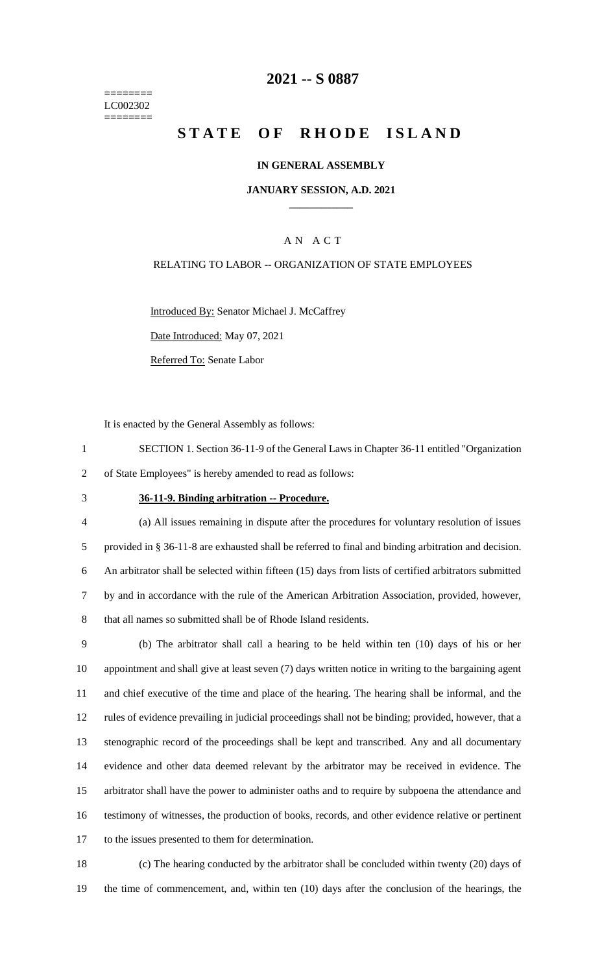======== LC002302 ========

# **-- S 0887**

# **STATE OF RHODE ISLAND**

### **IN GENERAL ASSEMBLY**

### **JANUARY SESSION, A.D. 2021 \_\_\_\_\_\_\_\_\_\_\_\_**

## A N A C T

### RELATING TO LABOR -- ORGANIZATION OF STATE EMPLOYEES

Introduced By: Senator Michael J. McCaffrey

Date Introduced: May 07, 2021

Referred To: Senate Labor

It is enacted by the General Assembly as follows:

- SECTION 1. Section 36-11-9 of the General Laws in Chapter 36-11 entitled "Organization of State Employees" is hereby amended to read as follows:
- 

#### **36-11-9. Binding arbitration -- Procedure.**

- (a) All issues remaining in dispute after the procedures for voluntary resolution of issues provided in § 36-11-8 are exhausted shall be referred to final and binding arbitration and decision. An arbitrator shall be selected within fifteen (15) days from lists of certified arbitrators submitted by and in accordance with the rule of the American Arbitration Association, provided, however, that all names so submitted shall be of Rhode Island residents.
- (b) The arbitrator shall call a hearing to be held within ten (10) days of his or her appointment and shall give at least seven (7) days written notice in writing to the bargaining agent and chief executive of the time and place of the hearing. The hearing shall be informal, and the rules of evidence prevailing in judicial proceedings shall not be binding; provided, however, that a stenographic record of the proceedings shall be kept and transcribed. Any and all documentary evidence and other data deemed relevant by the arbitrator may be received in evidence. The arbitrator shall have the power to administer oaths and to require by subpoena the attendance and testimony of witnesses, the production of books, records, and other evidence relative or pertinent to the issues presented to them for determination.
- (c) The hearing conducted by the arbitrator shall be concluded within twenty (20) days of the time of commencement, and, within ten (10) days after the conclusion of the hearings, the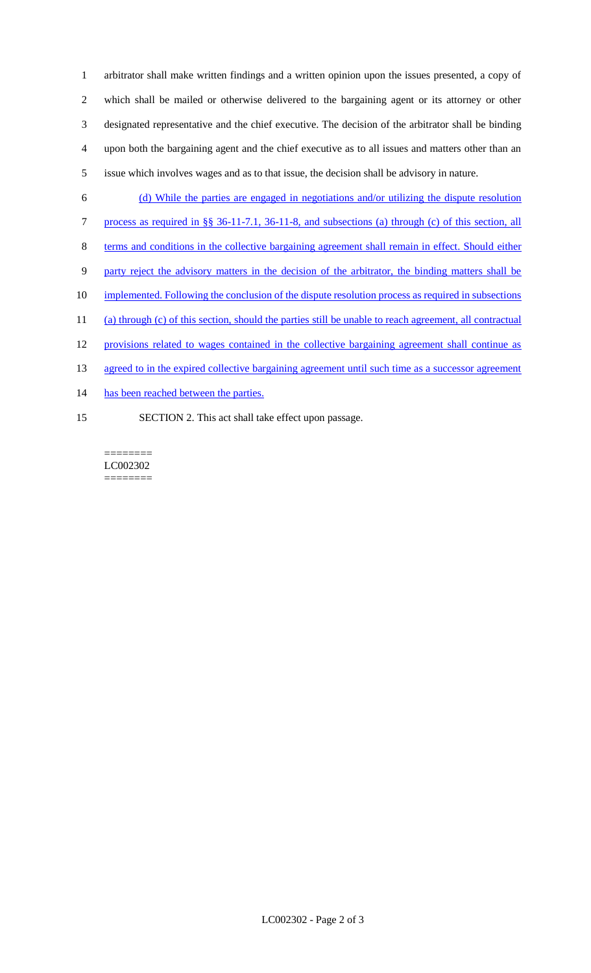arbitrator shall make written findings and a written opinion upon the issues presented, a copy of which shall be mailed or otherwise delivered to the bargaining agent or its attorney or other designated representative and the chief executive. The decision of the arbitrator shall be binding upon both the bargaining agent and the chief executive as to all issues and matters other than an issue which involves wages and as to that issue, the decision shall be advisory in nature.

- (d) While the parties are engaged in negotiations and/or utilizing the dispute resolution
- process as required in §§ 36-11-7.1, 36-11-8, and subsections (a) through (c) of this section, all
- terms and conditions in the collective bargaining agreement shall remain in effect. Should either
- party reject the advisory matters in the decision of the arbitrator, the binding matters shall be
- 10 implemented. Following the conclusion of the dispute resolution process as required in subsections
- (a) through (c) of this section, should the parties still be unable to reach agreement, all contractual
- provisions related to wages contained in the collective bargaining agreement shall continue as
- 13 agreed to in the expired collective bargaining agreement until such time as a successor agreement
- 14 has been reached between the parties.
- SECTION 2. This act shall take effect upon passage.

======== LC002302 ========